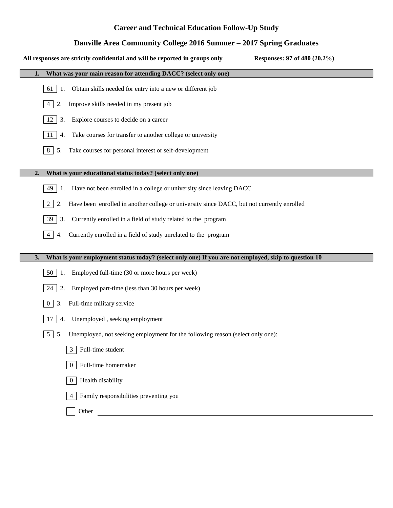# **Career and Technical Education Follow-Up Study**

## **Danville Area Community College 2016 Summer – 2017 Spring Graduates**

| Responses: 97 of 480 (20.2%)<br>All responses are strictly confidential and will be reported in groups only |
|-------------------------------------------------------------------------------------------------------------|
| What was your main reason for attending DACC? (select only one)<br>1.                                       |
| Obtain skills needed for entry into a new or different job<br>61<br>1.                                      |
| Improve skills needed in my present job<br>2.<br>4                                                          |
| Explore courses to decide on a career<br>3.<br>12                                                           |
| Take courses for transfer to another college or university<br>4.<br>11                                      |
| Take courses for personal interest or self-development<br>5.<br>8                                           |
|                                                                                                             |
| What is your educational status today? (select only one)<br>2.                                              |
| Have not been enrolled in a college or university since leaving DACC<br>49  <br>1.                          |
| Have been enrolled in another college or university since DACC, but not currently enrolled<br>2<br>2.       |
| Currently enrolled in a field of study related to the program<br>39 <sup>1</sup><br>3.                      |
| Currently enrolled in a field of study unrelated to the program<br>4<br>4.                                  |
| What is your employment status today? (select only one) If you are not employed, skip to question 10<br>3.  |
|                                                                                                             |
| Employed full-time (30 or more hours per week)<br>50  <br>1.                                                |
| Employed part-time (less than 30 hours per week)<br>24<br>2.                                                |
| Full-time military service<br>3.<br>$\theta$                                                                |
| 4. Unemployed, seeking employment<br>17                                                                     |
| 5   5. Unemployed, not seeking employment for the following reason (select only one):                       |
| Full-time student<br>$\mathbf{3}$                                                                           |
| Full-time homemaker<br>$\Omega$                                                                             |
| Health disability<br>$\overline{0}$                                                                         |
| Family responsibilities preventing you                                                                      |
| Other                                                                                                       |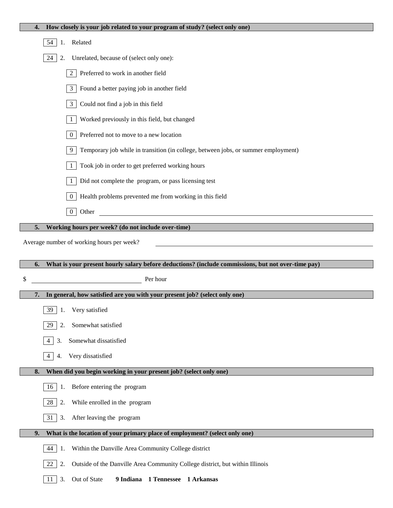| How closely is your job related to your program of study? (select only one)<br>4.                  |  |  |  |  |  |  |  |
|----------------------------------------------------------------------------------------------------|--|--|--|--|--|--|--|
| 54<br>Related<br>1.                                                                                |  |  |  |  |  |  |  |
| 24<br>Unrelated, because of (select only one):<br>2.                                               |  |  |  |  |  |  |  |
| Preferred to work in another field<br>$\overline{2}$                                               |  |  |  |  |  |  |  |
| Found a better paying job in another field<br>$\mathfrak{Z}$                                       |  |  |  |  |  |  |  |
| $\mathfrak{Z}$<br>Could not find a job in this field                                               |  |  |  |  |  |  |  |
| Worked previously in this field, but changed<br>-1                                                 |  |  |  |  |  |  |  |
| Preferred not to move to a new location<br>$\boldsymbol{0}$                                        |  |  |  |  |  |  |  |
| Temporary job while in transition (in college, between jobs, or summer employment)<br>9            |  |  |  |  |  |  |  |
| Took job in order to get preferred working hours<br>1                                              |  |  |  |  |  |  |  |
| Did not complete the program, or pass licensing test<br>1                                          |  |  |  |  |  |  |  |
| Health problems prevented me from working in this field<br>$\overline{0}$                          |  |  |  |  |  |  |  |
| $\mathbf{0}$<br>Other<br><u> 1989 - Johann Stein, Amerikaansk kanton (</u>                         |  |  |  |  |  |  |  |
| Working hours per week? (do not include over-time)<br>5.                                           |  |  |  |  |  |  |  |
| Average number of working hours per week?                                                          |  |  |  |  |  |  |  |
|                                                                                                    |  |  |  |  |  |  |  |
|                                                                                                    |  |  |  |  |  |  |  |
| What is your present hourly salary before deductions? (include commissions, but not over-time pay) |  |  |  |  |  |  |  |
| Per hour<br>\$                                                                                     |  |  |  |  |  |  |  |
| In general, how satisfied are you with your present job? (select only one)<br>7.                   |  |  |  |  |  |  |  |
| 39 1. Very satisfied                                                                               |  |  |  |  |  |  |  |
| Somewhat satisfied<br>29<br>2.                                                                     |  |  |  |  |  |  |  |
| Somewhat dissatisfied<br>3.<br>4                                                                   |  |  |  |  |  |  |  |
| Very dissatisfied<br>$\overline{4}$<br>4.                                                          |  |  |  |  |  |  |  |
| When did you begin working in your present job? (select only one)<br>8.                            |  |  |  |  |  |  |  |
| Before entering the program<br>16<br>1.                                                            |  |  |  |  |  |  |  |
| 28<br>While enrolled in the program<br>2.                                                          |  |  |  |  |  |  |  |
| 31<br>After leaving the program<br>3.                                                              |  |  |  |  |  |  |  |
| What is the location of your primary place of employment? (select only one)<br>9.                  |  |  |  |  |  |  |  |
| 44<br>Within the Danville Area Community College district<br>1.                                    |  |  |  |  |  |  |  |
| 22<br>Outside of the Danville Area Community College district, but within Illinois<br>2.           |  |  |  |  |  |  |  |